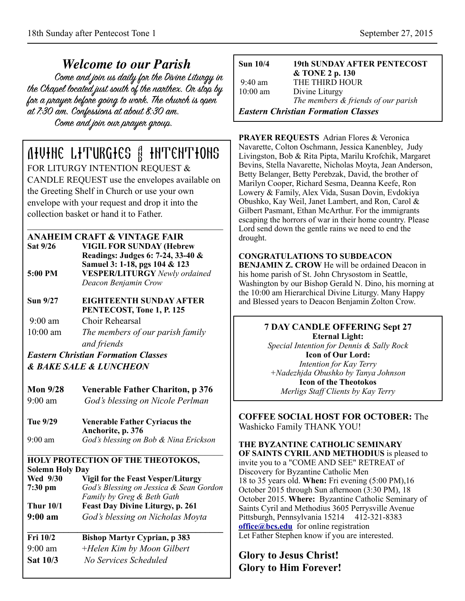*Welcome to our Parish* the Chapel located just south of the nanthex. On stop by for a prayer before going to work. The church is open at 7:30 am. Confessions at about 8:30 am. Come and join our prayer group.

# Divine Liturgies & Intentions

FOR LITURGY INTENTION REQUEST & CANDLE REQUEST use the envelopes available on the Greeting Shelf in Church or use your own envelope with your request and drop it into the collection basket or hand it to Father.

**ANAHEIM CRAFT & VINTAGE FAIR** 

- **Sat 9/26 VIGIL FOR SUNDAY (Hebrew Readings: Judges 6: 7-24, 33-40 & Samuel 3: 1-18, pgs 104 & 123 5:00 PM VESPER/LITURGY** *Newly ordained Deacon Benjamin Crow*
- **Sun 9/27 EIGHTEENTH SUNDAY AFTER PENTECOST, Tone 1, P. 125**

9:00 am Choir Rehearsal

10:00 am *The members of our parish family and friends*

*Eastern Christian Formation Classes & BAKE SALE & LUNCHEON*

| Mon $9/28$ | <b>Venerable Father Chariton, p 376</b> |
|------------|-----------------------------------------|
| $9:00$ am  | God's blessing on Nicole Perlman        |

**Tue 9/29 Venerable Father Cyriacus the Anchorite, p. 376**  9:00 am *God's blessing on Bob & Nina Erickson* 

# **HOLY PROTECTION OF THE THEOTOKOS, Solemn Holy Day**

**Wed 9/30 Vigil for the Feast Vesper/Liturgy 7:30 pm** *God's Blessing on Jessica & Sean Gordon Family by Greg & Beth Gath*  **Thur 10/1 Feast Day Divine Liturgy, p. 261 9:00 am** *God's blessing on Nicholas Moyta*

**\_\_\_\_\_\_\_\_\_\_\_\_\_\_\_\_\_\_\_\_\_\_\_\_\_\_\_\_\_\_\_\_\_\_\_\_\_\_\_\_\_\_\_ Fri 10/2 Bishop Martyr Cyprian, p 383**  9:00 am +*Helen Kim by Moon Gilbert*  **Sat 10/3** *No Services Scheduled* 

| <b>Sun 10/4</b>                     | <b>19th SUNDAY AFTER PENTECOST</b><br>& TONE 2 p. 130 |
|-------------------------------------|-------------------------------------------------------|
| $9:40$ am<br>$10:00$ am             | THE THIRD HOUR<br>Divine Liturgy                      |
|                                     | The members & friends of our parish                   |
| Eastern Christian Formation Classes |                                                       |

**PRAYER REQUESTS** Adrian Flores & Veronica Navarette, Colton Oschmann, Jessica Kanenbley, Judy Livingston, Bob & Rita Pipta, Marilu Krofchik, Margaret Bevins, Stella Navarette, Nicholas Moyta, Jean Anderson, Betty Belanger, Betty Perebzak, David, the brother of Marilyn Cooper, Richard Sesma, Deanna Keefe, Ron Lowery & Family, Alex Vida, Susan Dovin, Evdokiya Obushko, Kay Weil, Janet Lambert, and Ron, Carol & Gilbert Pasmant, Ethan McArthur. For the immigrants escaping the horrors of war in their home country. Please Lord send down the gentle rains we need to end the drought.

### **CONGRATULATIONS TO SUBDEACON**

**BENJAMIN Z. CROW** He will be ordained Deacon in his home parish of St. John Chrysostom in Seattle, Washington by our Bishop Gerald N. Dino, his morning at the 10:00 am Hierarchical Divine Liturgy. Many Happy and Blessed years to Deacon Benjamin Zolton Crow.

> **7 DAY CANDLE OFFERING Sept 27 Eternal Light:**  *Special Intention for Dennis & Sally Rock*  **Icon of Our Lord:**  *Intention for Kay Terry +Nadezhjda Obushko by Tanya Johnson*  **Icon of the Theotokos**  *Merligs Staff Clients by Kay Terry*

**COFFEE SOCIAL HOST FOR OCTOBER:** The Washicko Family THANK YOU!

**THE BYZANTINE CATHOLIC SEMINARY OF SAINTS CYRIL AND METHODIUS** is pleased to invite you to a "COME AND SEE" RETREAT of Discovery for Byzantine Catholic Men 18 to 35 years old. **When:** Fri evening (5:00 PM),16 October 2015 through Sun afternoon (3:30 PM), 18 October 2015. **Where:** Byzantine Catholic Seminary of Saints Cyril and Methodius 3605 Perrysville Avenue Pittsburgh, Pennsylvania 15214 412-321-8383 **[office@bcs.edu](mailto:office@bcs.edu)** for online registration Let Father Stephen know if you are interested.

# **Glory to Jesus Christ! Glory to Him Forever!**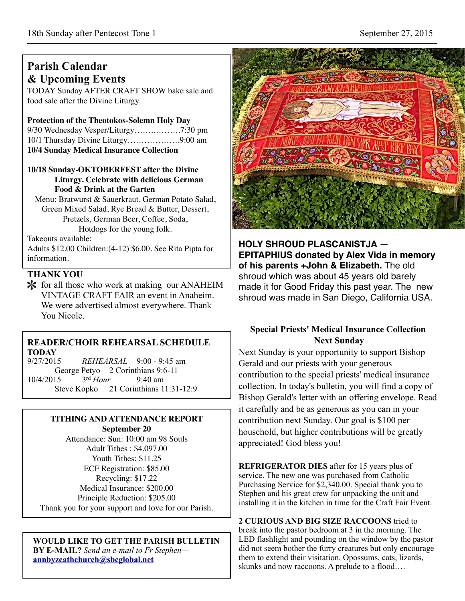# **Parish Calendar & Upcoming Events**

TODAY Sunday AFTER CRAFT SHOW bake sale and food sale after the Divine Liturgy.

#### **Protection of the Theotokos-Solemn Holy Day**

9/30 Wednesday Vesper/Liturgy…….……….7:30 pm 10/1 Thursday Divine Liturgy……………….9:00 am **10/4 Sunday Medical Insurance Collection**

#### **10/18 Sunday-OKTOBERFEST after the Divine Liturgy. Celebrate with delicious German Food & Drink at the Garten**

Menu: Bratwurst & Sauerkraut, German Potato Salad, Green Mixed Salad, Rye Bread & Butter, Dessert, Pretzels, German Beer, Coffee, Soda, Hotdogs for the young folk.

Takeouts available:

Adults \$12.00 Children:(4-12) \$6.00. See Rita Pipta for information.

# **THANK YOU**

\* for all those who work at making our ANAHEIM VINTAGE CRAFT FAIR an event in Anaheim. We were advertised almost everywhere. Thank You Nicole.

# **READER/CHOIR REHEARSAL SCHEDULE TODAY**

9/27/2015 *REHEARSAL* 9:00 - 9:45 am George Petyo 2 Corinthians 9:6-11 10/4/2015 3rd *Hour* 9:40 am Steve Kopko 21 Corinthians 11:31-12:9

# **TITHING AND ATTENDANCE REPORT**

**September 20** Attendance: Sun: 10:00 am 98 Souls Adult Tithes : \$4,097.00 Youth Tithes: \$11.25 ECF Registration: \$85.00 Recycling: \$17.22 Medical Insurance: \$200.00 Principle Reduction: \$205.00 Thank you for your support and love for our Parish.

#### **WOULD LIKE TO GET THE PARISH BULLETIN BY E-MAIL?** *Send an e-mail to Fr Stephen* **[annbyzcathchurch@sbcglobal.net](mailto:annbyzcathchurch@sbcglobal.net)**

**UTHE RACKAUT SHOT** 

**HOLY SHROUD PLASCANISTJA — EPITAPHIUS donated by Alex Vida in memory of his parents +John & Elizabeth.** The old shroud which was about 45 years old barely made it for Good Friday this past year. The new shroud was made in San Diego, California USA.

# **Special Priests' Medical Insurance Collection Next Sunday**

Next Sunday is your opportunity to support Bishop Gerald and our priests with your generous contribution to the special priests' medical insurance collection. In today's bulletin, you will find a copy of Bishop Gerald's letter with an offering envelope. Read it carefully and be as generous as you can in your contribution next Sunday. Our goal is \$100 per household, but higher contributions will be greatly appreciated! God bless you!

**REFRIGERATOR DIES** after for 15 years plus of service. The new one was purchased from Catholic Purchasing Service for \$2,340.00. Special thank you to Stephen and his great crew for unpacking the unit and installing it in the kitchen in time for the Craft Fair Event.

**2 CURIOUS AND BIG SIZE RACCOONS** tried to break into the pastor bedroom at 3 in the morning. The LED flashlight and pounding on the window by the pastor did not seem bother the furry creatures but only encourage them to extend their visitation. Opossums, cats, lizards, skunks and now raccoons. A prelude to a flood….